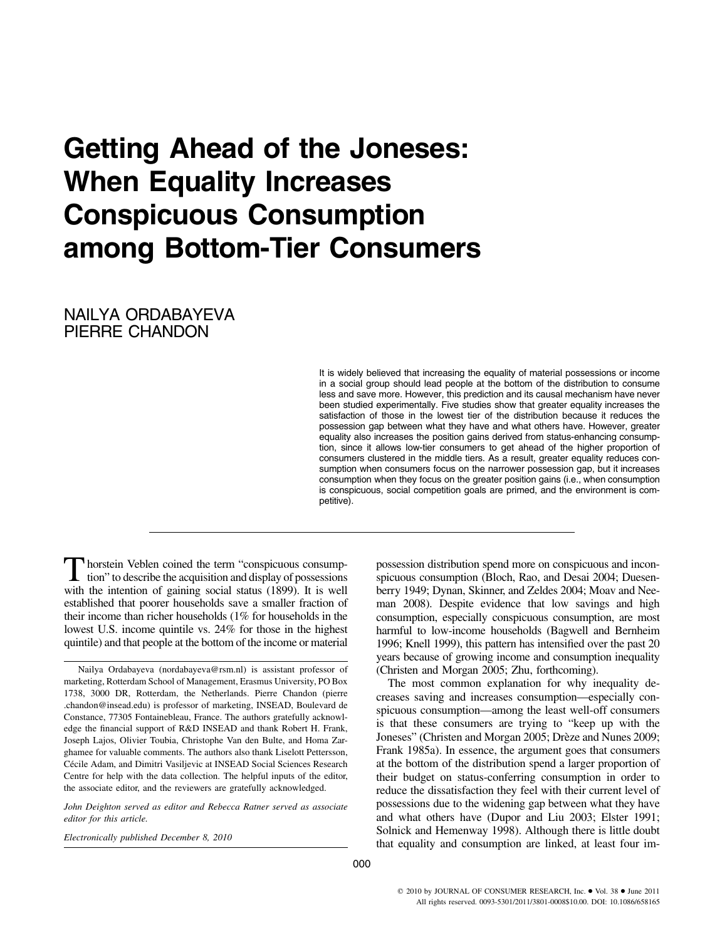# **Getting Ahead of the Joneses: When Equality Increases Conspicuous Consumption among Bottom-Tier Consumers**

NAILYA ORDABAYEVA PIERRE CHANDON

> It is widely believed that increasing the equality of material possessions or income in a social group should lead people at the bottom of the distribution to consume less and save more. However, this prediction and its causal mechanism have never been studied experimentally. Five studies show that greater equality increases the satisfaction of those in the lowest tier of the distribution because it reduces the possession gap between what they have and what others have. However, greater equality also increases the position gains derived from status-enhancing consumption, since it allows low-tier consumers to get ahead of the higher proportion of consumers clustered in the middle tiers. As a result, greater equality reduces consumption when consumers focus on the narrower possession gap, but it increases consumption when they focus on the greater position gains (i.e., when consumption is conspicuous, social competition goals are primed, and the environment is competitive).

Thorstein Veblen coined the term "conspicuous consumption" to describe the acquisition and display of possessions with the intention of gaining social status (1899). It is well established that poorer households save a smaller fraction of their income than richer households (1% for households in the lowest U.S. income quintile vs. 24% for those in the highest quintile) and that people at the bottom of the income or material

*John Deighton served as editor and Rebecca Ratner served as associate editor for this article.*

*Electronically published December 8, 2010*

possession distribution spend more on conspicuous and inconspicuous consumption (Bloch, Rao, and Desai 2004; Duesenberry 1949; Dynan, Skinner, and Zeldes 2004; Moav and Neeman 2008). Despite evidence that low savings and high consumption, especially conspicuous consumption, are most harmful to low-income households (Bagwell and Bernheim 1996; Knell 1999), this pattern has intensified over the past 20 years because of growing income and consumption inequality (Christen and Morgan 2005; Zhu, forthcoming).

The most common explanation for why inequality decreases saving and increases consumption—especially conspicuous consumption—among the least well-off consumers is that these consumers are trying to "keep up with the Joneses" (Christen and Morgan 2005; Drèze and Nunes 2009; Frank 1985a). In essence, the argument goes that consumers at the bottom of the distribution spend a larger proportion of their budget on status-conferring consumption in order to reduce the dissatisfaction they feel with their current level of possessions due to the widening gap between what they have and what others have (Dupor and Liu 2003; Elster 1991; Solnick and Hemenway 1998). Although there is little doubt that equality and consumption are linked, at least four im-

Nailya Ordabayeva (nordabayeva@rsm.nl) is assistant professor of marketing, Rotterdam School of Management, Erasmus University, PO Box 1738, 3000 DR, Rotterdam, the Netherlands. Pierre Chandon (pierre .chandon@insead.edu) is professor of marketing, INSEAD, Boulevard de Constance, 77305 Fontainebleau, France. The authors gratefully acknowledge the financial support of R&D INSEAD and thank Robert H. Frank, Joseph Lajos, Olivier Toubia, Christophe Van den Bulte, and Homa Zarghamee for valuable comments. The authors also thank Liselott Pettersson, Cécile Adam, and Dimitri Vasiljevic at INSEAD Social Sciences Research Centre for help with the data collection. The helpful inputs of the editor, the associate editor, and the reviewers are gratefully acknowledged.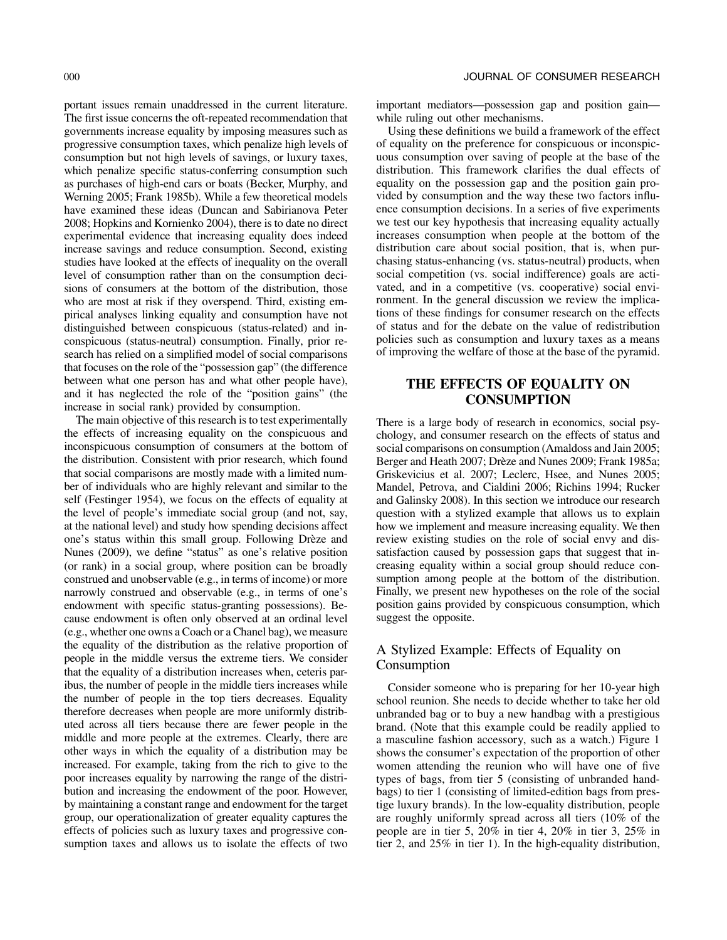portant issues remain unaddressed in the current literature. The first issue concerns the oft-repeated recommendation that governments increase equality by imposing measures such as progressive consumption taxes, which penalize high levels of consumption but not high levels of savings, or luxury taxes, which penalize specific status-conferring consumption such as purchases of high-end cars or boats (Becker, Murphy, and Werning 2005; Frank 1985b). While a few theoretical models have examined these ideas (Duncan and Sabirianova Peter 2008; Hopkins and Kornienko 2004), there is to date no direct experimental evidence that increasing equality does indeed increase savings and reduce consumption. Second, existing studies have looked at the effects of inequality on the overall level of consumption rather than on the consumption decisions of consumers at the bottom of the distribution, those who are most at risk if they overspend. Third, existing empirical analyses linking equality and consumption have not distinguished between conspicuous (status-related) and inconspicuous (status-neutral) consumption. Finally, prior research has relied on a simplified model of social comparisons that focuses on the role of the "possession gap" (the difference between what one person has and what other people have), and it has neglected the role of the "position gains" (the increase in social rank) provided by consumption.

The main objective of this research is to test experimentally the effects of increasing equality on the conspicuous and inconspicuous consumption of consumers at the bottom of the distribution. Consistent with prior research, which found that social comparisons are mostly made with a limited number of individuals who are highly relevant and similar to the self (Festinger 1954), we focus on the effects of equality at the level of people's immediate social group (and not, say, at the national level) and study how spending decisions affect one's status within this small group. Following Drèze and Nunes (2009), we define "status" as one's relative position (or rank) in a social group, where position can be broadly construed and unobservable (e.g., in terms of income) or more narrowly construed and observable (e.g., in terms of one's endowment with specific status-granting possessions). Because endowment is often only observed at an ordinal level (e.g., whether one owns a Coach or a Chanel bag), we measure the equality of the distribution as the relative proportion of people in the middle versus the extreme tiers. We consider that the equality of a distribution increases when, ceteris paribus, the number of people in the middle tiers increases while the number of people in the top tiers decreases. Equality therefore decreases when people are more uniformly distributed across all tiers because there are fewer people in the middle and more people at the extremes. Clearly, there are other ways in which the equality of a distribution may be increased. For example, taking from the rich to give to the poor increases equality by narrowing the range of the distribution and increasing the endowment of the poor. However, by maintaining a constant range and endowment for the target group, our operationalization of greater equality captures the effects of policies such as luxury taxes and progressive consumption taxes and allows us to isolate the effects of two important mediators—possession gap and position gain while ruling out other mechanisms.

Using these definitions we build a framework of the effect of equality on the preference for conspicuous or inconspicuous consumption over saving of people at the base of the distribution. This framework clarifies the dual effects of equality on the possession gap and the position gain provided by consumption and the way these two factors influence consumption decisions. In a series of five experiments we test our key hypothesis that increasing equality actually increases consumption when people at the bottom of the distribution care about social position, that is, when purchasing status-enhancing (vs. status-neutral) products, when social competition (vs. social indifference) goals are activated, and in a competitive (vs. cooperative) social environment. In the general discussion we review the implications of these findings for consumer research on the effects of status and for the debate on the value of redistribution policies such as consumption and luxury taxes as a means of improving the welfare of those at the base of the pyramid.

# **THE EFFECTS OF EQUALITY ON CONSUMPTION**

There is a large body of research in economics, social psychology, and consumer research on the effects of status and social comparisons on consumption (Amaldoss and Jain 2005; Berger and Heath 2007; Drèze and Nunes 2009; Frank 1985a; Griskevicius et al. 2007; Leclerc, Hsee, and Nunes 2005; Mandel, Petrova, and Cialdini 2006; Richins 1994; Rucker and Galinsky 2008). In this section we introduce our research question with a stylized example that allows us to explain how we implement and measure increasing equality. We then review existing studies on the role of social envy and dissatisfaction caused by possession gaps that suggest that increasing equality within a social group should reduce consumption among people at the bottom of the distribution. Finally, we present new hypotheses on the role of the social position gains provided by conspicuous consumption, which suggest the opposite.

## A Stylized Example: Effects of Equality on Consumption

Consider someone who is preparing for her 10-year high school reunion. She needs to decide whether to take her old unbranded bag or to buy a new handbag with a prestigious brand. (Note that this example could be readily applied to a masculine fashion accessory, such as a watch.) Figure 1 shows the consumer's expectation of the proportion of other women attending the reunion who will have one of five types of bags, from tier 5 (consisting of unbranded handbags) to tier 1 (consisting of limited-edition bags from prestige luxury brands). In the low-equality distribution, people are roughly uniformly spread across all tiers (10% of the people are in tier 5, 20% in tier 4, 20% in tier 3, 25% in tier 2, and 25% in tier 1). In the high-equality distribution,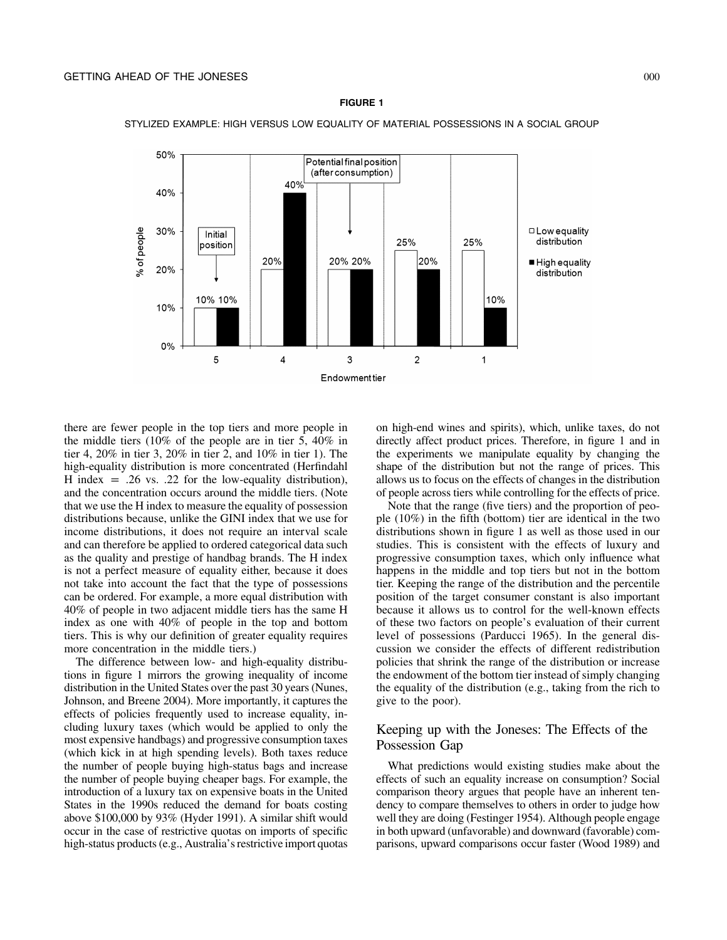#### **FIGURE 1**

STYLIZED EXAMPLE: HIGH VERSUS LOW EQUALITY OF MATERIAL POSSESSIONS IN A SOCIAL GROUP



there are fewer people in the top tiers and more people in the middle tiers (10% of the people are in tier 5, 40% in tier 4, 20% in tier 3, 20% in tier 2, and 10% in tier 1). The high-equality distribution is more concentrated (Herfindahl H index = .26 vs. .22 for the low-equality distribution), and the concentration occurs around the middle tiers. (Note that we use the H index to measure the equality of possession distributions because, unlike the GINI index that we use for income distributions, it does not require an interval scale and can therefore be applied to ordered categorical data such as the quality and prestige of handbag brands. The H index is not a perfect measure of equality either, because it does not take into account the fact that the type of possessions can be ordered. For example, a more equal distribution with 40% of people in two adjacent middle tiers has the same H index as one with 40% of people in the top and bottom tiers. This is why our definition of greater equality requires more concentration in the middle tiers.)

The difference between low- and high-equality distributions in figure 1 mirrors the growing inequality of income distribution in the United States over the past 30 years (Nunes, Johnson, and Breene 2004). More importantly, it captures the effects of policies frequently used to increase equality, including luxury taxes (which would be applied to only the most expensive handbags) and progressive consumption taxes (which kick in at high spending levels). Both taxes reduce the number of people buying high-status bags and increase the number of people buying cheaper bags. For example, the introduction of a luxury tax on expensive boats in the United States in the 1990s reduced the demand for boats costing above \$100,000 by 93% (Hyder 1991). A similar shift would occur in the case of restrictive quotas on imports of specific high-status products (e.g., Australia's restrictive import quotas on high-end wines and spirits), which, unlike taxes, do not directly affect product prices. Therefore, in figure 1 and in the experiments we manipulate equality by changing the shape of the distribution but not the range of prices. This allows us to focus on the effects of changes in the distribution of people across tiers while controlling for the effects of price.

Note that the range (five tiers) and the proportion of people (10%) in the fifth (bottom) tier are identical in the two distributions shown in figure 1 as well as those used in our studies. This is consistent with the effects of luxury and progressive consumption taxes, which only influence what happens in the middle and top tiers but not in the bottom tier. Keeping the range of the distribution and the percentile position of the target consumer constant is also important because it allows us to control for the well-known effects of these two factors on people's evaluation of their current level of possessions (Parducci 1965). In the general discussion we consider the effects of different redistribution policies that shrink the range of the distribution or increase the endowment of the bottom tier instead of simply changing the equality of the distribution (e.g., taking from the rich to give to the poor).

## Keeping up with the Joneses: The Effects of the Possession Gap

What predictions would existing studies make about the effects of such an equality increase on consumption? Social comparison theory argues that people have an inherent tendency to compare themselves to others in order to judge how well they are doing (Festinger 1954). Although people engage in both upward (unfavorable) and downward (favorable) comparisons, upward comparisons occur faster (Wood 1989) and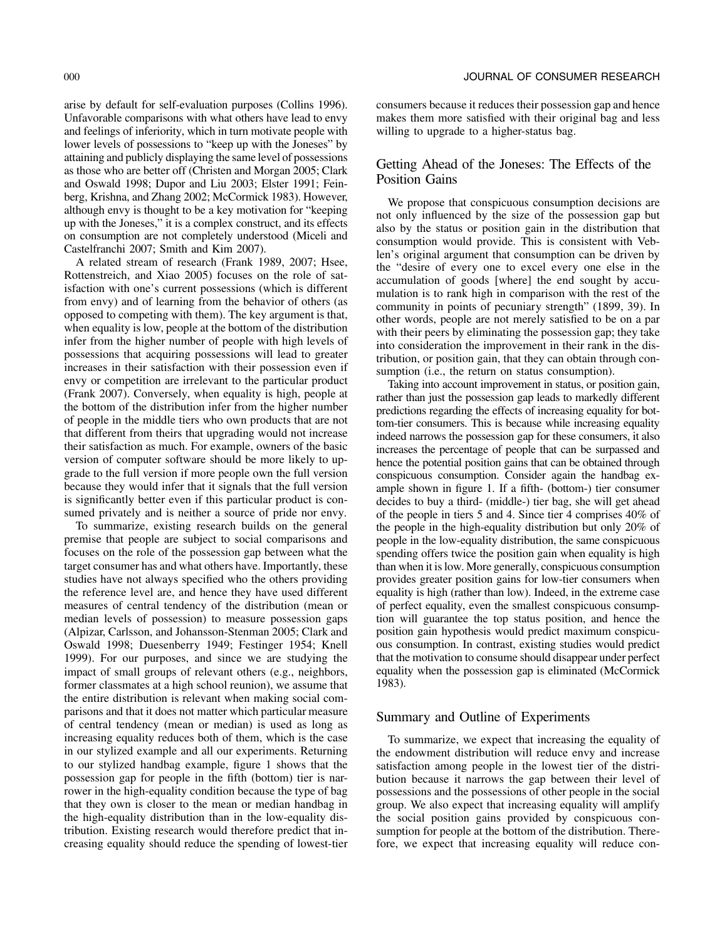arise by default for self-evaluation purposes (Collins 1996). Unfavorable comparisons with what others have lead to envy and feelings of inferiority, which in turn motivate people with lower levels of possessions to "keep up with the Joneses" by attaining and publicly displaying the same level of possessions as those who are better off (Christen and Morgan 2005; Clark and Oswald 1998; Dupor and Liu 2003; Elster 1991; Feinberg, Krishna, and Zhang 2002; McCormick 1983). However, although envy is thought to be a key motivation for "keeping up with the Joneses," it is a complex construct, and its effects on consumption are not completely understood (Miceli and Castelfranchi 2007; Smith and Kim 2007).

A related stream of research (Frank 1989, 2007; Hsee, Rottenstreich, and Xiao 2005) focuses on the role of satisfaction with one's current possessions (which is different from envy) and of learning from the behavior of others (as opposed to competing with them). The key argument is that, when equality is low, people at the bottom of the distribution infer from the higher number of people with high levels of possessions that acquiring possessions will lead to greater increases in their satisfaction with their possession even if envy or competition are irrelevant to the particular product (Frank 2007). Conversely, when equality is high, people at the bottom of the distribution infer from the higher number of people in the middle tiers who own products that are not that different from theirs that upgrading would not increase their satisfaction as much. For example, owners of the basic version of computer software should be more likely to upgrade to the full version if more people own the full version because they would infer that it signals that the full version is significantly better even if this particular product is consumed privately and is neither a source of pride nor envy.

To summarize, existing research builds on the general premise that people are subject to social comparisons and focuses on the role of the possession gap between what the target consumer has and what others have. Importantly, these studies have not always specified who the others providing the reference level are, and hence they have used different measures of central tendency of the distribution (mean or median levels of possession) to measure possession gaps (Alpizar, Carlsson, and Johansson-Stenman 2005; Clark and Oswald 1998; Duesenberry 1949; Festinger 1954; Knell 1999). For our purposes, and since we are studying the impact of small groups of relevant others (e.g., neighbors, former classmates at a high school reunion), we assume that the entire distribution is relevant when making social comparisons and that it does not matter which particular measure of central tendency (mean or median) is used as long as increasing equality reduces both of them, which is the case in our stylized example and all our experiments. Returning to our stylized handbag example, figure 1 shows that the possession gap for people in the fifth (bottom) tier is narrower in the high-equality condition because the type of bag that they own is closer to the mean or median handbag in the high-equality distribution than in the low-equality distribution. Existing research would therefore predict that increasing equality should reduce the spending of lowest-tier consumers because it reduces their possession gap and hence makes them more satisfied with their original bag and less willing to upgrade to a higher-status bag.

## Getting Ahead of the Joneses: The Effects of the Position Gains

We propose that conspicuous consumption decisions are not only influenced by the size of the possession gap but also by the status or position gain in the distribution that consumption would provide. This is consistent with Veblen's original argument that consumption can be driven by the "desire of every one to excel every one else in the accumulation of goods [where] the end sought by accumulation is to rank high in comparison with the rest of the community in points of pecuniary strength" (1899, 39). In other words, people are not merely satisfied to be on a par with their peers by eliminating the possession gap; they take into consideration the improvement in their rank in the distribution, or position gain, that they can obtain through consumption (i.e., the return on status consumption).

Taking into account improvement in status, or position gain, rather than just the possession gap leads to markedly different predictions regarding the effects of increasing equality for bottom-tier consumers. This is because while increasing equality indeed narrows the possession gap for these consumers, it also increases the percentage of people that can be surpassed and hence the potential position gains that can be obtained through conspicuous consumption. Consider again the handbag example shown in figure 1. If a fifth- (bottom-) tier consumer decides to buy a third- (middle-) tier bag, she will get ahead of the people in tiers 5 and 4. Since tier 4 comprises 40% of the people in the high-equality distribution but only 20% of people in the low-equality distribution, the same conspicuous spending offers twice the position gain when equality is high than when it is low. More generally, conspicuous consumption provides greater position gains for low-tier consumers when equality is high (rather than low). Indeed, in the extreme case of perfect equality, even the smallest conspicuous consumption will guarantee the top status position, and hence the position gain hypothesis would predict maximum conspicuous consumption. In contrast, existing studies would predict that the motivation to consume should disappear under perfect equality when the possession gap is eliminated (McCormick 1983).

## Summary and Outline of Experiments

To summarize, we expect that increasing the equality of the endowment distribution will reduce envy and increase satisfaction among people in the lowest tier of the distribution because it narrows the gap between their level of possessions and the possessions of other people in the social group. We also expect that increasing equality will amplify the social position gains provided by conspicuous consumption for people at the bottom of the distribution. Therefore, we expect that increasing equality will reduce con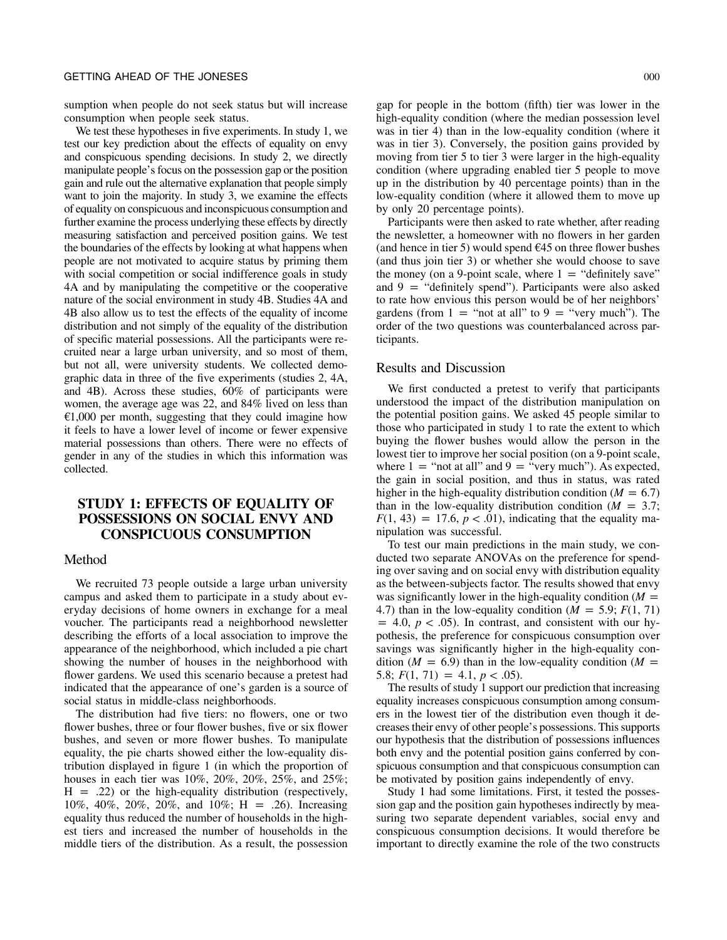sumption when people do not seek status but will increase consumption when people seek status.

We test these hypotheses in five experiments. In study 1, we test our key prediction about the effects of equality on envy and conspicuous spending decisions. In study 2, we directly manipulate people's focus on the possession gap or the position gain and rule out the alternative explanation that people simply want to join the majority. In study 3, we examine the effects of equality on conspicuous and inconspicuous consumption and further examine the process underlying these effects by directly measuring satisfaction and perceived position gains. We test the boundaries of the effects by looking at what happens when people are not motivated to acquire status by priming them with social competition or social indifference goals in study 4A and by manipulating the competitive or the cooperative nature of the social environment in study 4B. Studies 4A and 4B also allow us to test the effects of the equality of income distribution and not simply of the equality of the distribution of specific material possessions. All the participants were recruited near a large urban university, and so most of them, but not all, were university students. We collected demographic data in three of the five experiments (studies 2, 4A, and 4B). Across these studies, 60% of participants were women, the average age was 22, and 84% lived on less than  $£1,000$  per month, suggesting that they could imagine how it feels to have a lower level of income or fewer expensive material possessions than others. There were no effects of gender in any of the studies in which this information was collected.

# **STUDY 1: EFFECTS OF EQUALITY OF POSSESSIONS ON SOCIAL ENVY AND CONSPICUOUS CONSUMPTION**

## Method

We recruited 73 people outside a large urban university campus and asked them to participate in a study about everyday decisions of home owners in exchange for a meal voucher. The participants read a neighborhood newsletter describing the efforts of a local association to improve the appearance of the neighborhood, which included a pie chart showing the number of houses in the neighborhood with flower gardens. We used this scenario because a pretest had indicated that the appearance of one's garden is a source of social status in middle-class neighborhoods.

The distribution had five tiers: no flowers, one or two flower bushes, three or four flower bushes, five or six flower bushes, and seven or more flower bushes. To manipulate equality, the pie charts showed either the low-equality distribution displayed in figure 1 (in which the proportion of houses in each tier was 10%, 20%, 20%, 25%, and 25%;  $H = .22$ ) or the high-equality distribution (respectively, 10%, 40%, 20%, 20%, and 10%; H = .26). Increasing equality thus reduced the number of households in the highest tiers and increased the number of households in the middle tiers of the distribution. As a result, the possession

gap for people in the bottom (fifth) tier was lower in the high-equality condition (where the median possession level was in tier 4) than in the low-equality condition (where it was in tier 3). Conversely, the position gains provided by moving from tier 5 to tier 3 were larger in the high-equality condition (where upgrading enabled tier 5 people to move up in the distribution by 40 percentage points) than in the low-equality condition (where it allowed them to move up by only 20 percentage points).

Participants were then asked to rate whether, after reading the newsletter, a homeowner with no flowers in her garden (and hence in tier 5) would spend  $\epsilon$ 45 on three flower bushes (and thus join tier 3) or whether she would choose to save the money (on a 9-point scale, where  $1 =$  "definitely save" and  $9 =$  "definitely spend"). Participants were also asked to rate how envious this person would be of her neighbors' gardens (from  $1 =$  "not at all" to  $9 =$  "very much"). The order of the two questions was counterbalanced across participants.

### Results and Discussion

We first conducted a pretest to verify that participants understood the impact of the distribution manipulation on the potential position gains. We asked 45 people similar to those who participated in study 1 to rate the extent to which buying the flower bushes would allow the person in the lowest tier to improve her social position (on a 9-point scale, where  $1 = "not at all" and 9 = "very much"). As expected,$ the gain in social position, and thus in status, was rated higher in the high-equality distribution condition ( $M = 6.7$ ) than in the low-equality distribution condition  $(M = 3.7;$  $F(1, 43) = 17.6, p < .01$ , indicating that the equality manipulation was successful.

To test our main predictions in the main study, we conducted two separate ANOVAs on the preference for spending over saving and on social envy with distribution equality as the between-subjects factor. The results showed that envy was significantly lower in the high-equality condition  $(M =$ 4.7) than in the low-equality condition ( $M = 5.9; F(1, 71)$ )  $p = 4.0$ ,  $p < .05$ ). In contrast, and consistent with our hypothesis, the preference for conspicuous consumption over savings was significantly higher in the high-equality condition ( $M = 6.9$ ) than in the low-equality condition ( $M =$ 5.8;  $F(1, 71) = 4.1, p < .05$ .

The results of study 1 support our prediction that increasing equality increases conspicuous consumption among consumers in the lowest tier of the distribution even though it decreases their envy of other people's possessions. This supports our hypothesis that the distribution of possessions influences both envy and the potential position gains conferred by conspicuous consumption and that conspicuous consumption can be motivated by position gains independently of envy.

Study 1 had some limitations. First, it tested the possession gap and the position gain hypotheses indirectly by measuring two separate dependent variables, social envy and conspicuous consumption decisions. It would therefore be important to directly examine the role of the two constructs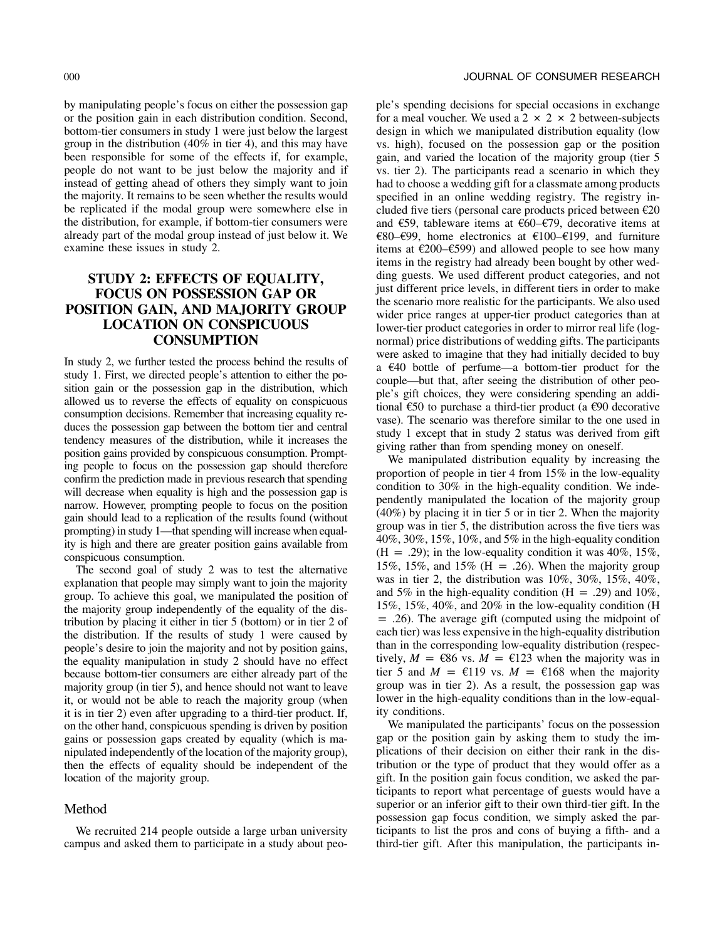by manipulating people's focus on either the possession gap or the position gain in each distribution condition. Second, bottom-tier consumers in study 1 were just below the largest group in the distribution (40% in tier 4), and this may have been responsible for some of the effects if, for example, people do not want to be just below the majority and if instead of getting ahead of others they simply want to join the majority. It remains to be seen whether the results would be replicated if the modal group were somewhere else in the distribution, for example, if bottom-tier consumers were already part of the modal group instead of just below it. We examine these issues in study 2.

# **STUDY 2: EFFECTS OF EQUALITY, FOCUS ON POSSESSION GAP OR POSITION GAIN, AND MAJORITY GROUP LOCATION ON CONSPICUOUS CONSUMPTION**

In study 2, we further tested the process behind the results of study 1. First, we directed people's attention to either the position gain or the possession gap in the distribution, which allowed us to reverse the effects of equality on conspicuous consumption decisions. Remember that increasing equality reduces the possession gap between the bottom tier and central tendency measures of the distribution, while it increases the position gains provided by conspicuous consumption. Prompting people to focus on the possession gap should therefore confirm the prediction made in previous research that spending will decrease when equality is high and the possession gap is narrow. However, prompting people to focus on the position gain should lead to a replication of the results found (without prompting) in study 1—that spending will increase when equality is high and there are greater position gains available from conspicuous consumption.

The second goal of study 2 was to test the alternative explanation that people may simply want to join the majority group. To achieve this goal, we manipulated the position of the majority group independently of the equality of the distribution by placing it either in tier 5 (bottom) or in tier 2 of the distribution. If the results of study 1 were caused by people's desire to join the majority and not by position gains, the equality manipulation in study 2 should have no effect because bottom-tier consumers are either already part of the majority group (in tier 5), and hence should not want to leave it, or would not be able to reach the majority group (when it is in tier 2) even after upgrading to a third-tier product. If, on the other hand, conspicuous spending is driven by position gains or possession gaps created by equality (which is manipulated independently of the location of the majority group), then the effects of equality should be independent of the location of the majority group.

## Method

We recruited 214 people outside a large urban university campus and asked them to participate in a study about people's spending decisions for special occasions in exchange for a meal voucher. We used a  $2 \times 2 \times 2$  between-subjects design in which we manipulated distribution equality (low vs. high), focused on the possession gap or the position gain, and varied the location of the majority group (tier 5 vs. tier 2). The participants read a scenario in which they had to choose a wedding gift for a classmate among products specified in an online wedding registry. The registry included five tiers (personal care products priced between  $\epsilon$ 20 and  $\epsilon$ 59, tableware items at  $\epsilon$ 60– $\epsilon$ 79, decorative items at €80–€99, home electronics at €100–€199, and furniture items at  $\epsilon$ 200– $\epsilon$ 599) and allowed people to see how many items in the registry had already been bought by other wedding guests. We used different product categories, and not just different price levels, in different tiers in order to make the scenario more realistic for the participants. We also used wider price ranges at upper-tier product categories than at lower-tier product categories in order to mirror real life (lognormal) price distributions of wedding gifts. The participants were asked to imagine that they had initially decided to buy a  $\epsilon$ 40 bottle of perfume—a bottom-tier product for the couple—but that, after seeing the distribution of other people's gift choices, they were considering spending an additional  $\epsilon$ 50 to purchase a third-tier product (a  $\epsilon$ 90 decorative vase). The scenario was therefore similar to the one used in study 1 except that in study 2 status was derived from gift giving rather than from spending money on oneself.

We manipulated distribution equality by increasing the proportion of people in tier 4 from 15% in the low-equality condition to 30% in the high-equality condition. We independently manipulated the location of the majority group (40%) by placing it in tier 5 or in tier 2. When the majority group was in tier 5, the distribution across the five tiers was 40%, 30%, 15%, 10%, and 5% in the high-equality condition  $(H = .29)$ ; in the low-equality condition it was 40%, 15%, 15%, 15%, and 15% (H = .26). When the majority group was in tier 2, the distribution was 10%, 30%, 15%, 40%, and 5% in the high-equality condition (H = .29) and 10%, 15%, 15%, 40%, and 20% in the low-equality condition (H  $=$  .26). The average gift (computed using the midpoint of each tier) was less expensive in the high-equality distribution than in the corresponding low-equality distribution (respectively,  $M = \epsilon 86$  vs.  $M = \epsilon 123$  when the majority was in tier 5 and  $M = \text{\textsterling}119$  vs.  $M = \text{\textsterling}168$  when the majority group was in tier 2). As a result, the possession gap was lower in the high-equality conditions than in the low-equality conditions.

We manipulated the participants' focus on the possession gap or the position gain by asking them to study the implications of their decision on either their rank in the distribution or the type of product that they would offer as a gift. In the position gain focus condition, we asked the participants to report what percentage of guests would have a superior or an inferior gift to their own third-tier gift. In the possession gap focus condition, we simply asked the participants to list the pros and cons of buying a fifth- and a third-tier gift. After this manipulation, the participants in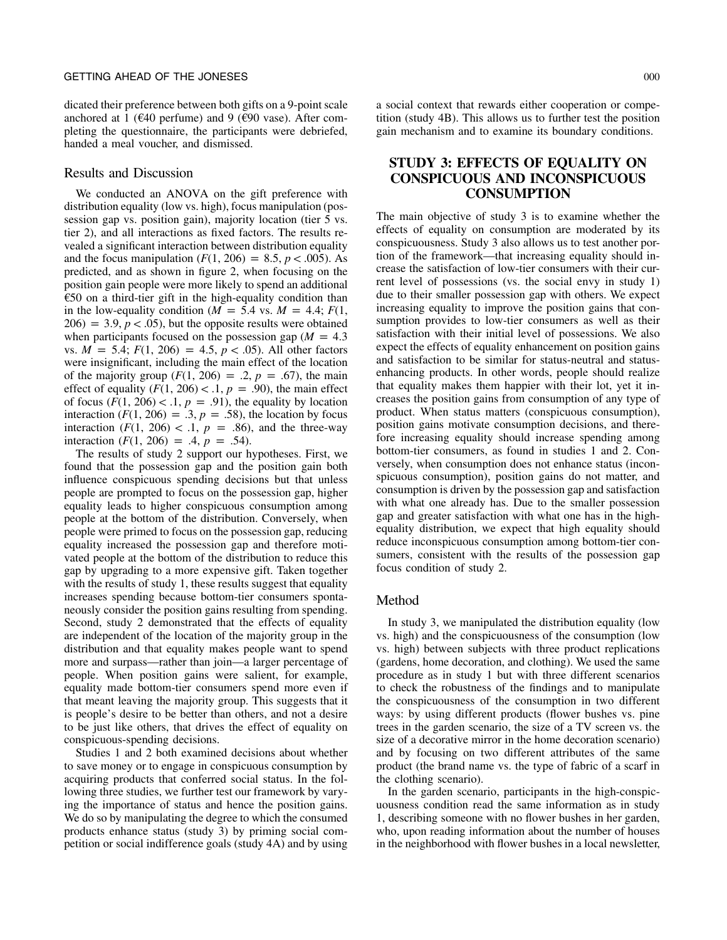dicated their preference between both gifts on a 9-point scale anchored at 1 ( $\epsilon$ 40 perfume) and 9 ( $\epsilon$ 90 vase). After completing the questionnaire, the participants were debriefed, handed a meal voucher, and dismissed.

### Results and Discussion

We conducted an ANOVA on the gift preference with distribution equality (low vs. high), focus manipulation (possession gap vs. position gain), majority location (tier 5 vs. tier 2), and all interactions as fixed factors. The results revealed a significant interaction between distribution equality and the focus manipulation  $(F(1, 206) = 8.5, p < .005)$ . As predicted, and as shown in figure 2, when focusing on the position gain people were more likely to spend an additional  $\epsilon$ 50 on a third-tier gift in the high-equality condition than in the low-equality condition ( $M = 5.4$  vs.  $M = 4.4$ ;  $F(1,$  $206 = 3.9, p < .05$ , but the opposite results were obtained when participants focused on the possession gap ( $M = 4.3$ ) vs.  $M = 5.4$ ;  $F(1, 206) = 4.5$ ,  $p < .05$ ). All other factors were insignificant, including the main effect of the location of the majority group  $(F(1, 206) = .2, p = .67)$ , the main effect of equality  $(F(1, 206) < .1, p = .90)$ , the main effect of focus  $(F(1, 206) < .1, p = .91)$ , the equality by location interaction  $(F(1, 206) = .3, p = .58)$ , the location by focus interaction  $(F(1, 206) < .1, p = .86)$ , and the three-way interaction  $(F(1, 206) = .4, p = .54)$ .

The results of study 2 support our hypotheses. First, we found that the possession gap and the position gain both influence conspicuous spending decisions but that unless people are prompted to focus on the possession gap, higher equality leads to higher conspicuous consumption among people at the bottom of the distribution. Conversely, when people were primed to focus on the possession gap, reducing equality increased the possession gap and therefore motivated people at the bottom of the distribution to reduce this gap by upgrading to a more expensive gift. Taken together with the results of study 1, these results suggest that equality increases spending because bottom-tier consumers spontaneously consider the position gains resulting from spending. Second, study 2 demonstrated that the effects of equality are independent of the location of the majority group in the distribution and that equality makes people want to spend more and surpass—rather than join—a larger percentage of people. When position gains were salient, for example, equality made bottom-tier consumers spend more even if that meant leaving the majority group. This suggests that it is people's desire to be better than others, and not a desire to be just like others, that drives the effect of equality on conspicuous-spending decisions.

Studies 1 and 2 both examined decisions about whether to save money or to engage in conspicuous consumption by acquiring products that conferred social status. In the following three studies, we further test our framework by varying the importance of status and hence the position gains. We do so by manipulating the degree to which the consumed products enhance status (study 3) by priming social competition or social indifference goals (study 4A) and by using a social context that rewards either cooperation or competition (study 4B). This allows us to further test the position gain mechanism and to examine its boundary conditions.

# **STUDY 3: EFFECTS OF EQUALITY ON CONSPICUOUS AND INCONSPICUOUS CONSUMPTION**

The main objective of study 3 is to examine whether the effects of equality on consumption are moderated by its conspicuousness. Study 3 also allows us to test another portion of the framework—that increasing equality should increase the satisfaction of low-tier consumers with their current level of possessions (vs. the social envy in study 1) due to their smaller possession gap with others. We expect increasing equality to improve the position gains that consumption provides to low-tier consumers as well as their satisfaction with their initial level of possessions. We also expect the effects of equality enhancement on position gains and satisfaction to be similar for status-neutral and statusenhancing products. In other words, people should realize that equality makes them happier with their lot, yet it increases the position gains from consumption of any type of product. When status matters (conspicuous consumption), position gains motivate consumption decisions, and therefore increasing equality should increase spending among bottom-tier consumers, as found in studies 1 and 2. Conversely, when consumption does not enhance status (inconspicuous consumption), position gains do not matter, and consumption is driven by the possession gap and satisfaction with what one already has. Due to the smaller possession gap and greater satisfaction with what one has in the highequality distribution, we expect that high equality should reduce inconspicuous consumption among bottom-tier consumers, consistent with the results of the possession gap focus condition of study 2.

## Method

In study 3, we manipulated the distribution equality (low vs. high) and the conspicuousness of the consumption (low vs. high) between subjects with three product replications (gardens, home decoration, and clothing). We used the same procedure as in study 1 but with three different scenarios to check the robustness of the findings and to manipulate the conspicuousness of the consumption in two different ways: by using different products (flower bushes vs. pine trees in the garden scenario, the size of a TV screen vs. the size of a decorative mirror in the home decoration scenario) and by focusing on two different attributes of the same product (the brand name vs. the type of fabric of a scarf in the clothing scenario).

In the garden scenario, participants in the high-conspicuousness condition read the same information as in study 1, describing someone with no flower bushes in her garden, who, upon reading information about the number of houses in the neighborhood with flower bushes in a local newsletter,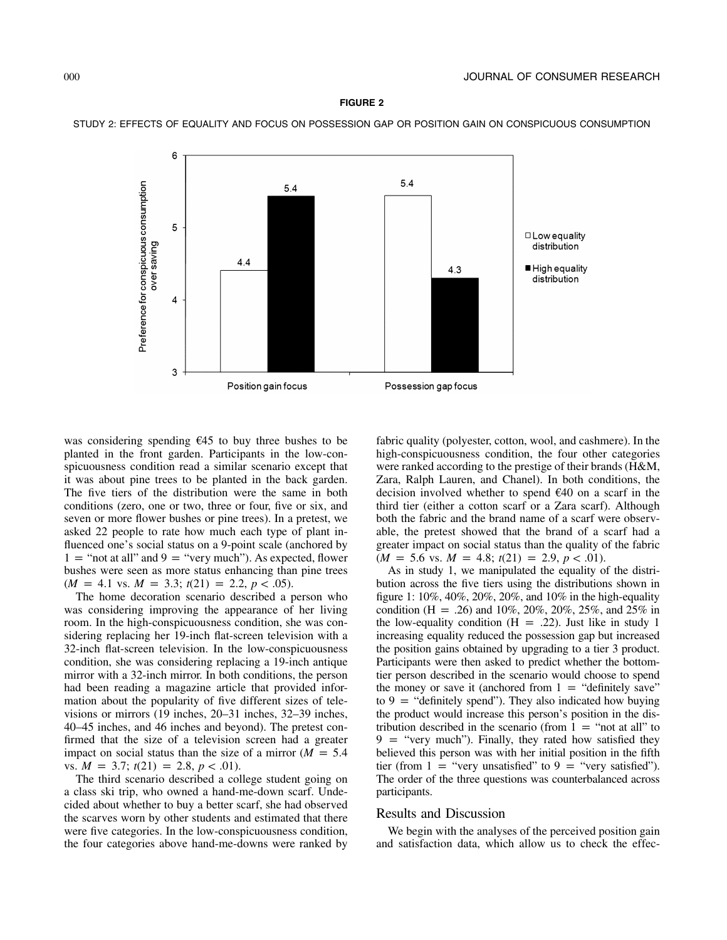#### **FIGURE 2**

STUDY 2: EFFECTS OF EQUALITY AND FOCUS ON POSSESSION GAP OR POSITION GAIN ON CONSPICUOUS CONSUMPTION



was considering spending  $\epsilon$ 45 to buy three bushes to be planted in the front garden. Participants in the low-conspicuousness condition read a similar scenario except that it was about pine trees to be planted in the back garden. The five tiers of the distribution were the same in both conditions (zero, one or two, three or four, five or six, and seven or more flower bushes or pine trees). In a pretest, we asked 22 people to rate how much each type of plant influenced one's social status on a 9-point scale (anchored by  $1 = "not at all" and 9 = "very much"). As expected, flower$ bushes were seen as more status enhancing than pine trees  $(M = 4.1 \text{ vs. } M = 3.3; t(21) = 2.2, p < .05).$ 

The home decoration scenario described a person who was considering improving the appearance of her living room. In the high-conspicuousness condition, she was considering replacing her 19-inch flat-screen television with a 32-inch flat-screen television. In the low-conspicuousness condition, she was considering replacing a 19-inch antique mirror with a 32-inch mirror. In both conditions, the person had been reading a magazine article that provided information about the popularity of five different sizes of televisions or mirrors (19 inches, 20–31 inches, 32–39 inches, 40–45 inches, and 46 inches and beyond). The pretest confirmed that the size of a television screen had a greater impact on social status than the size of a mirror  $(M = 5.4)$ vs.  $M = 3.7$ ;  $t(21) = 2.8$ ,  $p < .01$ ).

The third scenario described a college student going on a class ski trip, who owned a hand-me-down scarf. Undecided about whether to buy a better scarf, she had observed the scarves worn by other students and estimated that there were five categories. In the low-conspicuousness condition, the four categories above hand-me-downs were ranked by

fabric quality (polyester, cotton, wool, and cashmere). In the high-conspicuousness condition, the four other categories were ranked according to the prestige of their brands (H&M, Zara, Ralph Lauren, and Chanel). In both conditions, the decision involved whether to spend  $\epsilon$ 40 on a scarf in the third tier (either a cotton scarf or a Zara scarf). Although both the fabric and the brand name of a scarf were observable, the pretest showed that the brand of a scarf had a greater impact on social status than the quality of the fabric  $(M = 5.6 \text{ vs. } M = 4.8; t(21) = 2.9, p < .01).$ 

As in study 1, we manipulated the equality of the distribution across the five tiers using the distributions shown in figure 1: 10%, 40%, 20%, 20%, and 10% in the high-equality condition (H = .26) and 10%, 20%, 20%, 25%, and 25% in the low-equality condition ( $H = .22$ ). Just like in study 1 increasing equality reduced the possession gap but increased the position gains obtained by upgrading to a tier 3 product. Participants were then asked to predict whether the bottomtier person described in the scenario would choose to spend the money or save it (anchored from  $1 =$  "definitely save" to  $9 =$  "definitely spend"). They also indicated how buying the product would increase this person's position in the distribution described in the scenario (from  $1 =$  "not at all" to  $9 =$  "very much"). Finally, they rated how satisfied they believed this person was with her initial position in the fifth tier (from 1 = "very unsatisfied" to 9 = "very satisfied"). The order of the three questions was counterbalanced across participants.

#### Results and Discussion

We begin with the analyses of the perceived position gain and satisfaction data, which allow us to check the effec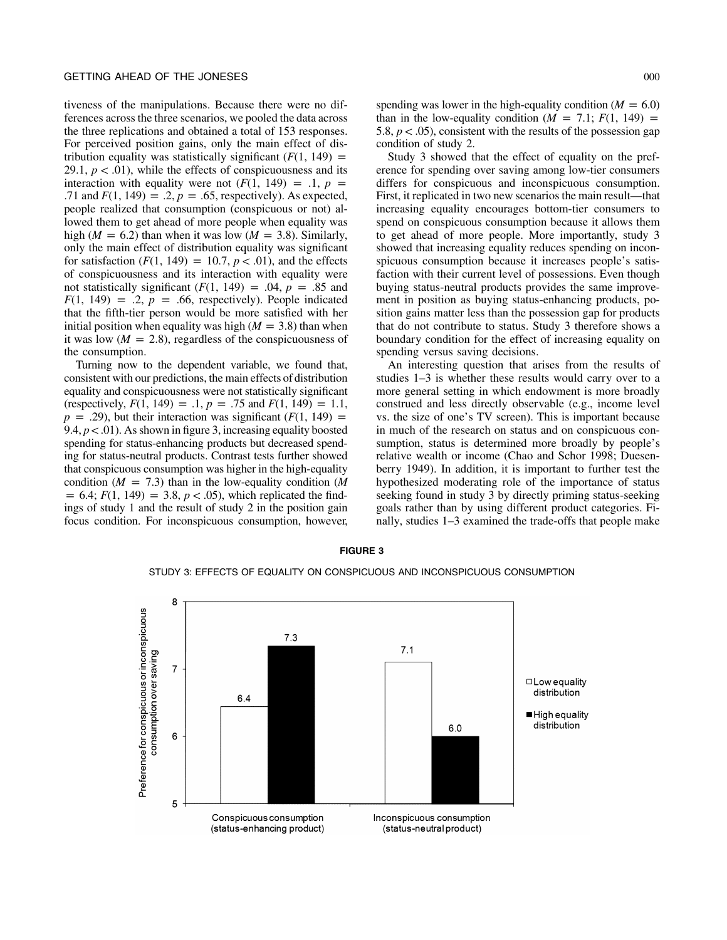tiveness of the manipulations. Because there were no differences across the three scenarios, we pooled the data across the three replications and obtained a total of 153 responses. For perceived position gains, only the main effect of distribution equality was statistically significant  $(F(1, 149) =$ 29.1,  $p < .01$ ), while the effects of conspicuousness and its interaction with equality were not  $(F(1, 149) = .1, p =$ .71 and  $F(1, 149) = .2, p = .65$ , respectively). As expected, people realized that consumption (conspicuous or not) allowed them to get ahead of more people when equality was high ( $M = 6.2$ ) than when it was low ( $M = 3.8$ ). Similarly, only the main effect of distribution equality was significant for satisfaction  $(F(1, 149) = 10.7, p < .01)$ , and the effects of conspicuousness and its interaction with equality were not statistically significant  $(F(1, 149) = .04, p = .85$  and  $F(1, 149) = .2, p = .66$ , respectively). People indicated that the fifth-tier person would be more satisfied with her initial position when equality was high  $(M = 3.8)$  than when it was low  $(M = 2.8)$ , regardless of the conspicuousness of the consumption.

Turning now to the dependent variable, we found that, consistent with our predictions, the main effects of distribution equality and conspicuousness were not statistically significant (respectively,  $F(1, 149) = .1, p = .75$  and  $F(1, 149) = 1.1$ ,  $p = .29$ , but their interaction was significant ( $F(1, 149) =$ 9.4,  $p < .01$ ). As shown in figure 3, increasing equality boosted spending for status-enhancing products but decreased spending for status-neutral products. Contrast tests further showed that conspicuous consumption was higher in the high-equality condition ( $M = 7.3$ ) than in the low-equality condition (*M*  $p = 6.4$ ; *F*(1, 149) = 3.8, *p* < .05), which replicated the findings of study 1 and the result of study 2 in the position gain focus condition. For inconspicuous consumption, however,

spending was lower in the high-equality condition  $(M = 6.0)$ than in the low-equality condition ( $M = 7.1$ ;  $F(1, 149) =$ 5.8,  $p < .05$ ), consistent with the results of the possession gap condition of study 2.

Study 3 showed that the effect of equality on the preference for spending over saving among low-tier consumers differs for conspicuous and inconspicuous consumption. First, it replicated in two new scenarios the main result—that increasing equality encourages bottom-tier consumers to spend on conspicuous consumption because it allows them to get ahead of more people. More importantly, study 3 showed that increasing equality reduces spending on inconspicuous consumption because it increases people's satisfaction with their current level of possessions. Even though buying status-neutral products provides the same improvement in position as buying status-enhancing products, position gains matter less than the possession gap for products that do not contribute to status. Study 3 therefore shows a boundary condition for the effect of increasing equality on spending versus saving decisions.

An interesting question that arises from the results of studies 1–3 is whether these results would carry over to a more general setting in which endowment is more broadly construed and less directly observable (e.g., income level vs. the size of one's TV screen). This is important because in much of the research on status and on conspicuous consumption, status is determined more broadly by people's relative wealth or income (Chao and Schor 1998; Duesenberry 1949). In addition, it is important to further test the hypothesized moderating role of the importance of status seeking found in study 3 by directly priming status-seeking goals rather than by using different product categories. Finally, studies 1–3 examined the trade-offs that people make



#### **FIGURE 3**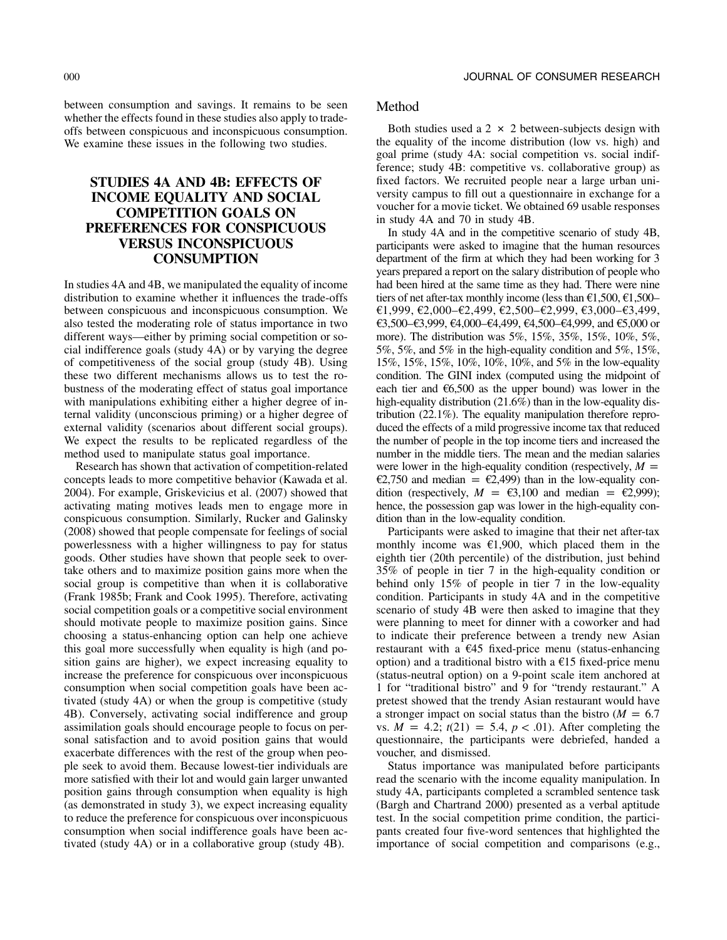between consumption and savings. It remains to be seen whether the effects found in these studies also apply to tradeoffs between conspicuous and inconspicuous consumption. We examine these issues in the following two studies.

# **STUDIES 4A AND 4B: EFFECTS OF INCOME EQUALITY AND SOCIAL COMPETITION GOALS ON PREFERENCES FOR CONSPICUOUS VERSUS INCONSPICUOUS CONSUMPTION**

In studies 4A and 4B, we manipulated the equality of income distribution to examine whether it influences the trade-offs between conspicuous and inconspicuous consumption. We also tested the moderating role of status importance in two different ways—either by priming social competition or social indifference goals (study 4A) or by varying the degree of competitiveness of the social group (study 4B). Using these two different mechanisms allows us to test the robustness of the moderating effect of status goal importance with manipulations exhibiting either a higher degree of internal validity (unconscious priming) or a higher degree of external validity (scenarios about different social groups). We expect the results to be replicated regardless of the method used to manipulate status goal importance.

Research has shown that activation of competition-related concepts leads to more competitive behavior (Kawada et al. 2004). For example, Griskevicius et al. (2007) showed that activating mating motives leads men to engage more in conspicuous consumption. Similarly, Rucker and Galinsky (2008) showed that people compensate for feelings of social powerlessness with a higher willingness to pay for status goods. Other studies have shown that people seek to overtake others and to maximize position gains more when the social group is competitive than when it is collaborative (Frank 1985b; Frank and Cook 1995). Therefore, activating social competition goals or a competitive social environment should motivate people to maximize position gains. Since choosing a status-enhancing option can help one achieve this goal more successfully when equality is high (and position gains are higher), we expect increasing equality to increase the preference for conspicuous over inconspicuous consumption when social competition goals have been activated (study 4A) or when the group is competitive (study 4B). Conversely, activating social indifference and group assimilation goals should encourage people to focus on personal satisfaction and to avoid position gains that would exacerbate differences with the rest of the group when people seek to avoid them. Because lowest-tier individuals are more satisfied with their lot and would gain larger unwanted position gains through consumption when equality is high (as demonstrated in study 3), we expect increasing equality to reduce the preference for conspicuous over inconspicuous consumption when social indifference goals have been activated (study 4A) or in a collaborative group (study 4B).

## Method

Both studies used a  $2 \times 2$  between-subjects design with the equality of the income distribution (low vs. high) and goal prime (study 4A: social competition vs. social indifference; study 4B: competitive vs. collaborative group) as fixed factors. We recruited people near a large urban university campus to fill out a questionnaire in exchange for a voucher for a movie ticket. We obtained 69 usable responses in study 4A and 70 in study 4B.

In study 4A and in the competitive scenario of study 4B, participants were asked to imagine that the human resources department of the firm at which they had been working for 3 years prepared a report on the salary distribution of people who had been hired at the same time as they had. There were nine tiers of net after-tax monthly income (less than  $\epsilon$ 1,500,  $\epsilon$ 1,500–  $£1,999, £2,000–£2,499, €2,500–€2,999, €3,000–€3,499,$ €3,500–€3,999, €4,000–€4,499, €4,500–€4,999, and €5,000 or more). The distribution was 5%, 15%, 35%, 15%, 10%, 5%, 5%, 5%, and 5% in the high-equality condition and 5%, 15%, 15%, 15%, 15%, 10%, 10%, 10%, and 5% in the low-equality condition. The GINI index (computed using the midpoint of each tier and  $\epsilon$ 6,500 as the upper bound) was lower in the high-equality distribution (21.6%) than in the low-equality distribution (22.1%). The equality manipulation therefore reproduced the effects of a mild progressive income tax that reduced the number of people in the top income tiers and increased the number in the middle tiers. The mean and the median salaries were lower in the high-equality condition (respectively,  $M =$  $\epsilon$ 2,750 and median =  $\epsilon$ 2,499) than in the low-equality condition (respectively,  $M = \epsilon 3,100$  and median  $= \epsilon 2,999$ ); hence, the possession gap was lower in the high-equality condition than in the low-equality condition.

Participants were asked to imagine that their net after-tax monthly income was  $\epsilon$ 1,900, which placed them in the eighth tier (20th percentile) of the distribution, just behind 35% of people in tier 7 in the high-equality condition or behind only 15% of people in tier 7 in the low-equality condition. Participants in study 4A and in the competitive scenario of study 4B were then asked to imagine that they were planning to meet for dinner with a coworker and had to indicate their preference between a trendy new Asian restaurant with a  $\epsilon$ 45 fixed-price menu (status-enhancing option) and a traditional bistro with a  $E15$  fixed-price menu (status-neutral option) on a 9-point scale item anchored at 1 for "traditional bistro" and 9 for "trendy restaurant." A pretest showed that the trendy Asian restaurant would have a stronger impact on social status than the bistro  $(M = 6.7)$ vs.  $M = 4.2$ ;  $t(21) = 5.4$ ,  $p < .01$ ). After completing the questionnaire, the participants were debriefed, handed a voucher, and dismissed.

Status importance was manipulated before participants read the scenario with the income equality manipulation. In study 4A, participants completed a scrambled sentence task (Bargh and Chartrand 2000) presented as a verbal aptitude test. In the social competition prime condition, the participants created four five-word sentences that highlighted the importance of social competition and comparisons (e.g.,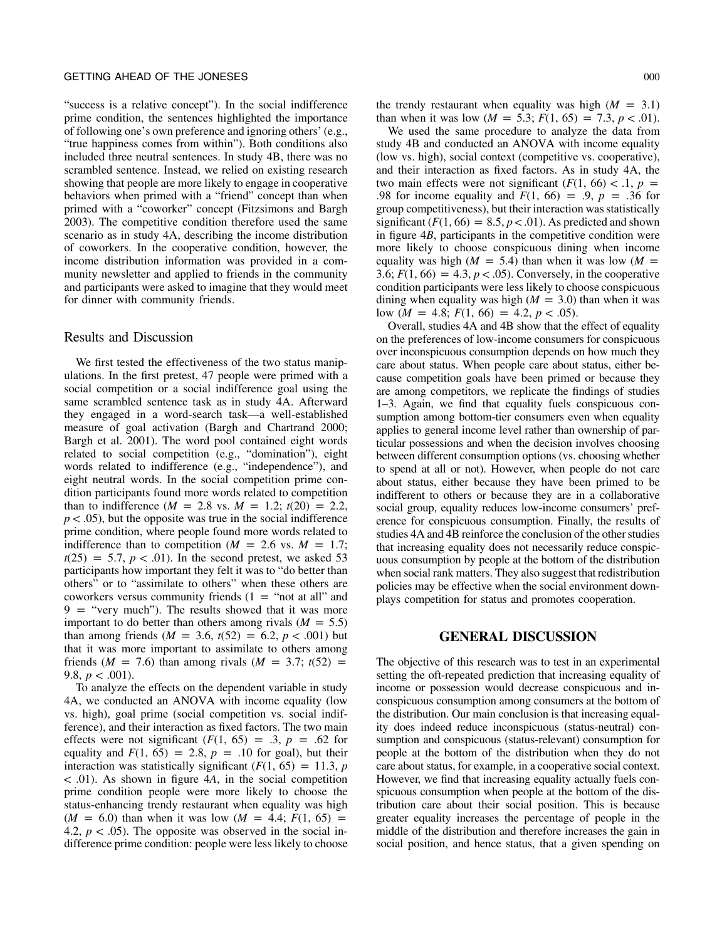"success is a relative concept"). In the social indifference prime condition, the sentences highlighted the importance of following one's own preference and ignoring others' (e.g., "true happiness comes from within"). Both conditions also included three neutral sentences. In study 4B, there was no scrambled sentence. Instead, we relied on existing research showing that people are more likely to engage in cooperative behaviors when primed with a "friend" concept than when primed with a "coworker" concept (Fitzsimons and Bargh 2003). The competitive condition therefore used the same scenario as in study 4A, describing the income distribution of coworkers. In the cooperative condition, however, the income distribution information was provided in a community newsletter and applied to friends in the community and participants were asked to imagine that they would meet for dinner with community friends.

#### Results and Discussion

We first tested the effectiveness of the two status manipulations. In the first pretest, 47 people were primed with a social competition or a social indifference goal using the same scrambled sentence task as in study 4A. Afterward they engaged in a word-search task—a well-established measure of goal activation (Bargh and Chartrand 2000; Bargh et al. 2001). The word pool contained eight words related to social competition (e.g., "domination"), eight words related to indifference (e.g., "independence"), and eight neutral words. In the social competition prime condition participants found more words related to competition than to indifference  $(M = 2.8 \text{ vs. } M = 1.2; t(20) = 2.2,$  $p < .05$ ), but the opposite was true in the social indifference prime condition, where people found more words related to indifference than to competition ( $M = 2.6$  vs.  $M = 1.7$ ;  $t(25) = 5.7$ ,  $p < .01$ ). In the second pretest, we asked 53 participants how important they felt it was to "do better than others" or to "assimilate to others" when these others are coworkers versus community friends  $(1 = "not at all" and$  $9 =$  "very much"). The results showed that it was more important to do better than others among rivals  $(M = 5.5)$ than among friends  $(M = 3.6, t(52) = 6.2, p < .001)$  but that it was more important to assimilate to others among friends ( $M = 7.6$ ) than among rivals ( $M = 3.7$ ;  $t(52) =$ 9.8,  $p < .001$ ).

To analyze the effects on the dependent variable in study 4A, we conducted an ANOVA with income equality (low vs. high), goal prime (social competition vs. social indifference), and their interaction as fixed factors. The two main effects were not significant  $(F(1, 65) = .3, p = .62$  for equality and  $F(1, 65) = 2.8$ ,  $p = .10$  for goal), but their interaction was statistically significant  $(F(1, 65) = 11.3, p$ ! .01). As shown in figure 4*A*, in the social competition prime condition people were more likely to choose the status-enhancing trendy restaurant when equality was high  $(M = 6.0)$  than when it was low  $(M = 4.4; F(1, 65)) =$ 4.2,  $p < .05$ ). The opposite was observed in the social indifference prime condition: people were less likely to choose the trendy restaurant when equality was high  $(M = 3.1)$ than when it was low  $(M = 5.3; F(1, 65) = 7.3, p < .01)$ .

We used the same procedure to analyze the data from study 4B and conducted an ANOVA with income equality (low vs. high), social context (competitive vs. cooperative), and their interaction as fixed factors. As in study 4A, the two main effects were not significant  $(F(1, 66) < .1, p =$ .98 for income equality and  $F(1, 66) = .9$ ,  $p = .36$  for group competitiveness), but their interaction was statistically significant  $(F(1, 66) = 8.5, p < .01)$ . As predicted and shown in figure 4*B*, participants in the competitive condition were more likely to choose conspicuous dining when income equality was high ( $M = 5.4$ ) than when it was low ( $M =$ 3.6;  $F(1, 66) = 4.3, p < .05$ ). Conversely, in the cooperative condition participants were less likely to choose conspicuous dining when equality was high  $(M = 3.0)$  than when it was low ( $M = 4.8$ ;  $F(1, 66) = 4.2, p < .05$ ).

Overall, studies 4A and 4B show that the effect of equality on the preferences of low-income consumers for conspicuous over inconspicuous consumption depends on how much they care about status. When people care about status, either because competition goals have been primed or because they are among competitors, we replicate the findings of studies 1–3. Again, we find that equality fuels conspicuous consumption among bottom-tier consumers even when equality applies to general income level rather than ownership of particular possessions and when the decision involves choosing between different consumption options (vs. choosing whether to spend at all or not). However, when people do not care about status, either because they have been primed to be indifferent to others or because they are in a collaborative social group, equality reduces low-income consumers' preference for conspicuous consumption. Finally, the results of studies 4A and 4B reinforce the conclusion of the other studies that increasing equality does not necessarily reduce conspicuous consumption by people at the bottom of the distribution when social rank matters. They also suggest that redistribution policies may be effective when the social environment downplays competition for status and promotes cooperation.

#### **GENERAL DISCUSSION**

The objective of this research was to test in an experimental setting the oft-repeated prediction that increasing equality of income or possession would decrease conspicuous and inconspicuous consumption among consumers at the bottom of the distribution. Our main conclusion is that increasing equality does indeed reduce inconspicuous (status-neutral) consumption and conspicuous (status-relevant) consumption for people at the bottom of the distribution when they do not care about status, for example, in a cooperative social context. However, we find that increasing equality actually fuels conspicuous consumption when people at the bottom of the distribution care about their social position. This is because greater equality increases the percentage of people in the middle of the distribution and therefore increases the gain in social position, and hence status, that a given spending on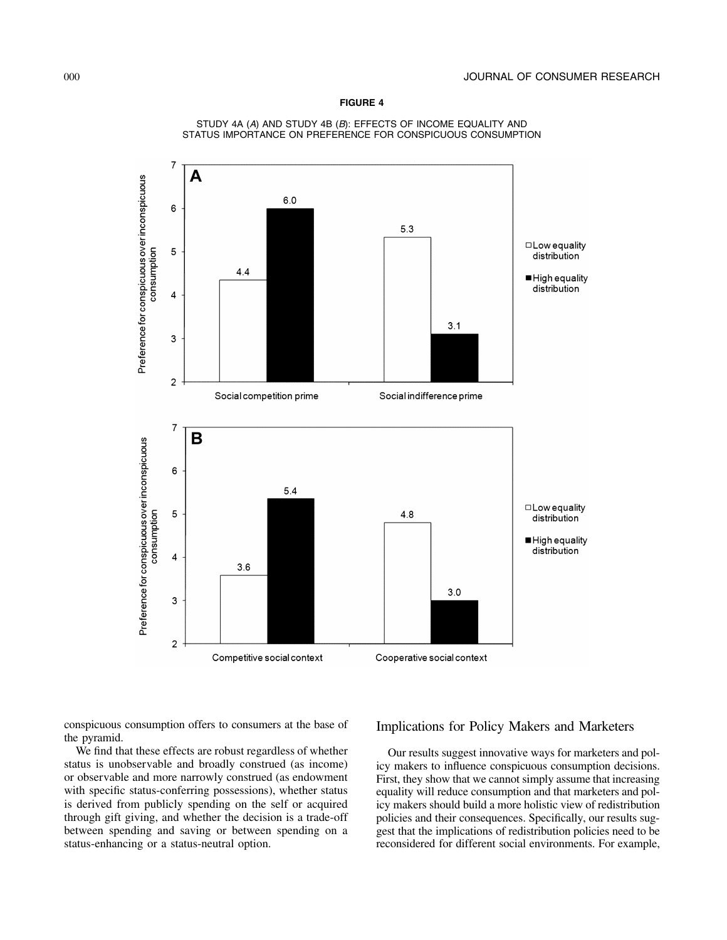#### **FIGURE 4**



STUDY 4A (*A*) AND STUDY 4B (*B*): EFFECTS OF INCOME EQUALITY AND STATUS IMPORTANCE ON PREFERENCE FOR CONSPICUOUS CONSUMPTION

conspicuous consumption offers to consumers at the base of the pyramid.

We find that these effects are robust regardless of whether status is unobservable and broadly construed (as income) or observable and more narrowly construed (as endowment with specific status-conferring possessions), whether status is derived from publicly spending on the self or acquired through gift giving, and whether the decision is a trade-off between spending and saving or between spending on a status-enhancing or a status-neutral option.

## Implications for Policy Makers and Marketers

Our results suggest innovative ways for marketers and policy makers to influence conspicuous consumption decisions. First, they show that we cannot simply assume that increasing equality will reduce consumption and that marketers and policy makers should build a more holistic view of redistribution policies and their consequences. Specifically, our results suggest that the implications of redistribution policies need to be reconsidered for different social environments. For example,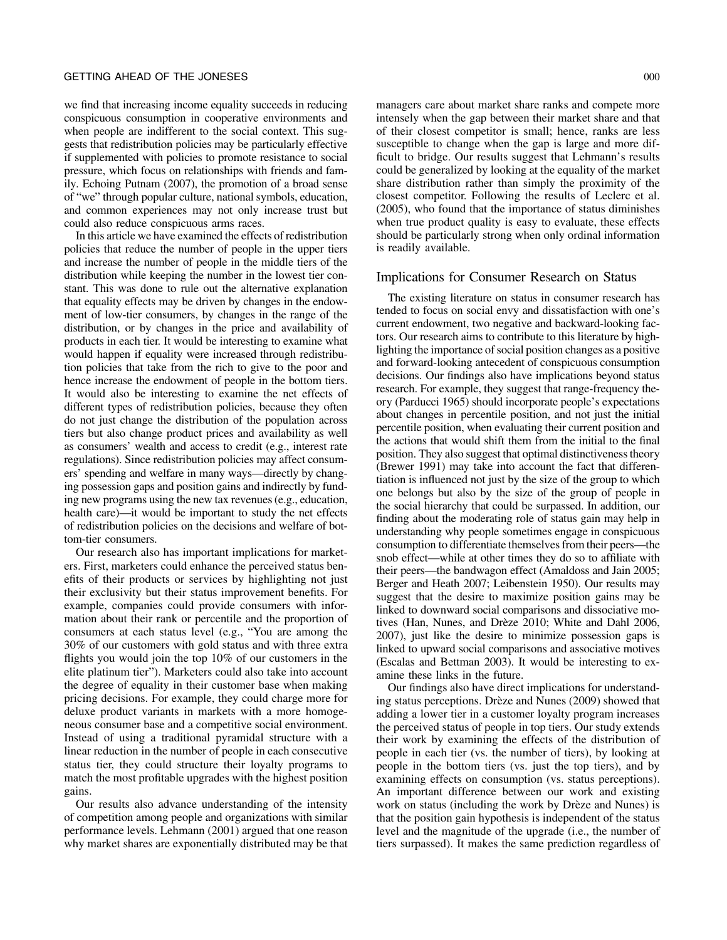we find that increasing income equality succeeds in reducing conspicuous consumption in cooperative environments and when people are indifferent to the social context. This suggests that redistribution policies may be particularly effective if supplemented with policies to promote resistance to social pressure, which focus on relationships with friends and family. Echoing Putnam (2007), the promotion of a broad sense of "we" through popular culture, national symbols, education, and common experiences may not only increase trust but could also reduce conspicuous arms races.

In this article we have examined the effects of redistribution policies that reduce the number of people in the upper tiers and increase the number of people in the middle tiers of the distribution while keeping the number in the lowest tier constant. This was done to rule out the alternative explanation that equality effects may be driven by changes in the endowment of low-tier consumers, by changes in the range of the distribution, or by changes in the price and availability of products in each tier. It would be interesting to examine what would happen if equality were increased through redistribution policies that take from the rich to give to the poor and hence increase the endowment of people in the bottom tiers. It would also be interesting to examine the net effects of different types of redistribution policies, because they often do not just change the distribution of the population across tiers but also change product prices and availability as well as consumers' wealth and access to credit (e.g., interest rate regulations). Since redistribution policies may affect consumers' spending and welfare in many ways—directly by changing possession gaps and position gains and indirectly by funding new programs using the new tax revenues (e.g., education, health care)—it would be important to study the net effects of redistribution policies on the decisions and welfare of bottom-tier consumers.

Our research also has important implications for marketers. First, marketers could enhance the perceived status benefits of their products or services by highlighting not just their exclusivity but their status improvement benefits. For example, companies could provide consumers with information about their rank or percentile and the proportion of consumers at each status level (e.g., "You are among the 30% of our customers with gold status and with three extra flights you would join the top 10% of our customers in the elite platinum tier"). Marketers could also take into account the degree of equality in their customer base when making pricing decisions. For example, they could charge more for deluxe product variants in markets with a more homogeneous consumer base and a competitive social environment. Instead of using a traditional pyramidal structure with a linear reduction in the number of people in each consecutive status tier, they could structure their loyalty programs to match the most profitable upgrades with the highest position gains.

Our results also advance understanding of the intensity of competition among people and organizations with similar performance levels. Lehmann (2001) argued that one reason why market shares are exponentially distributed may be that managers care about market share ranks and compete more intensely when the gap between their market share and that of their closest competitor is small; hence, ranks are less susceptible to change when the gap is large and more difficult to bridge. Our results suggest that Lehmann's results could be generalized by looking at the equality of the market share distribution rather than simply the proximity of the closest competitor. Following the results of Leclerc et al. (2005), who found that the importance of status diminishes when true product quality is easy to evaluate, these effects

## Implications for Consumer Research on Status

is readily available.

should be particularly strong when only ordinal information

The existing literature on status in consumer research has tended to focus on social envy and dissatisfaction with one's current endowment, two negative and backward-looking factors. Our research aims to contribute to this literature by highlighting the importance of social position changes as a positive and forward-looking antecedent of conspicuous consumption decisions. Our findings also have implications beyond status research. For example, they suggest that range-frequency theory (Parducci 1965) should incorporate people's expectations about changes in percentile position, and not just the initial percentile position, when evaluating their current position and the actions that would shift them from the initial to the final position. They also suggest that optimal distinctiveness theory (Brewer 1991) may take into account the fact that differentiation is influenced not just by the size of the group to which one belongs but also by the size of the group of people in the social hierarchy that could be surpassed. In addition, our finding about the moderating role of status gain may help in understanding why people sometimes engage in conspicuous consumption to differentiate themselves from their peers—the snob effect—while at other times they do so to affiliate with their peers—the bandwagon effect (Amaldoss and Jain 2005; Berger and Heath 2007; Leibenstein 1950). Our results may suggest that the desire to maximize position gains may be linked to downward social comparisons and dissociative motives (Han, Nunes, and Drèze 2010; White and Dahl 2006, 2007), just like the desire to minimize possession gaps is linked to upward social comparisons and associative motives (Escalas and Bettman 2003). It would be interesting to examine these links in the future.

Our findings also have direct implications for understanding status perceptions. Drèze and Nunes (2009) showed that adding a lower tier in a customer loyalty program increases the perceived status of people in top tiers. Our study extends their work by examining the effects of the distribution of people in each tier (vs. the number of tiers), by looking at people in the bottom tiers (vs. just the top tiers), and by examining effects on consumption (vs. status perceptions). An important difference between our work and existing work on status (including the work by Drèze and Nunes) is that the position gain hypothesis is independent of the status level and the magnitude of the upgrade (i.e., the number of tiers surpassed). It makes the same prediction regardless of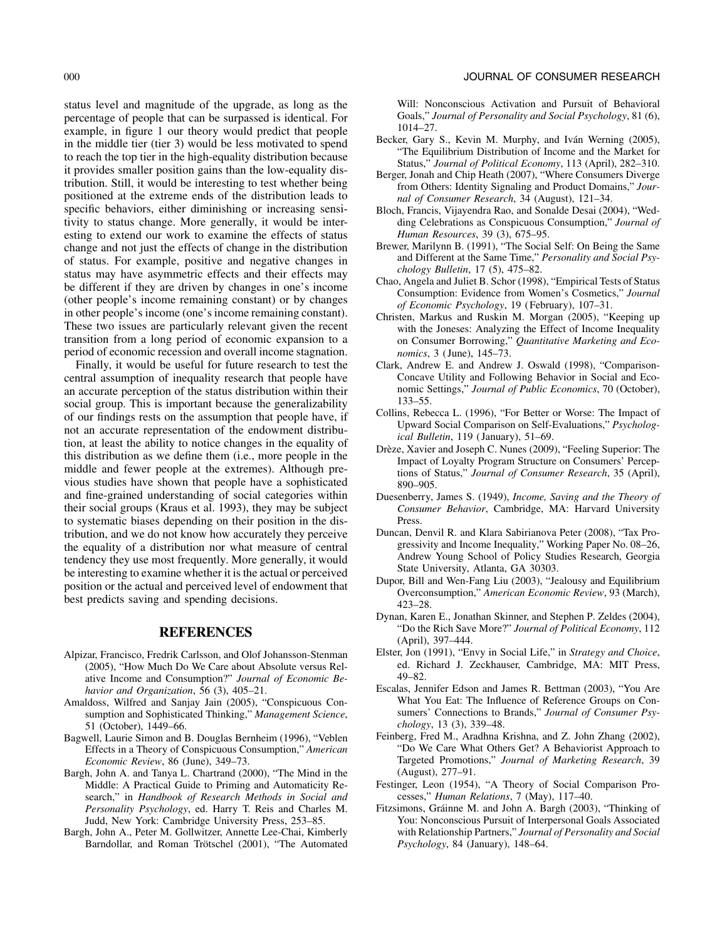status level and magnitude of the upgrade, as long as the percentage of people that can be surpassed is identical. For example, in figure 1 our theory would predict that people in the middle tier (tier 3) would be less motivated to spend to reach the top tier in the high-equality distribution because it provides smaller position gains than the low-equality distribution. Still, it would be interesting to test whether being positioned at the extreme ends of the distribution leads to specific behaviors, either diminishing or increasing sensitivity to status change. More generally, it would be interesting to extend our work to examine the effects of status change and not just the effects of change in the distribution of status. For example, positive and negative changes in status may have asymmetric effects and their effects may be different if they are driven by changes in one's income (other people's income remaining constant) or by changes in other people's income (one's income remaining constant). These two issues are particularly relevant given the recent transition from a long period of economic expansion to a period of economic recession and overall income stagnation.

Finally, it would be useful for future research to test the central assumption of inequality research that people have an accurate perception of the status distribution within their social group. This is important because the generalizability of our findings rests on the assumption that people have, if not an accurate representation of the endowment distribution, at least the ability to notice changes in the equality of this distribution as we define them (i.e., more people in the middle and fewer people at the extremes). Although previous studies have shown that people have a sophisticated and fine-grained understanding of social categories within their social groups (Kraus et al. 1993), they may be subject to systematic biases depending on their position in the distribution, and we do not know how accurately they perceive the equality of a distribution nor what measure of central tendency they use most frequently. More generally, it would be interesting to examine whether it is the actual or perceived position or the actual and perceived level of endowment that best predicts saving and spending decisions.

#### **REFERENCES**

- Alpizar, Francisco, Fredrik Carlsson, and Olof Johansson-Stenman (2005), "How Much Do We Care about Absolute versus Relative Income and Consumption?" *Journal of Economic Behavior and Organization*, 56 (3), 405–21.
- Amaldoss, Wilfred and Sanjay Jain (2005), "Conspicuous Consumption and Sophisticated Thinking," *Management Science*, 51 (October), 1449–66.
- Bagwell, Laurie Simon and B. Douglas Bernheim (1996), "Veblen Effects in a Theory of Conspicuous Consumption," *American Economic Review*, 86 (June), 349–73.
- Bargh, John A. and Tanya L. Chartrand (2000), "The Mind in the Middle: A Practical Guide to Priming and Automaticity Research," in *Handbook of Research Methods in Social and Personality Psychology*, ed. Harry T. Reis and Charles M. Judd, New York: Cambridge University Press, 253–85.
- Bargh, John A., Peter M. Gollwitzer, Annette Lee-Chai, Kimberly Barndollar, and Roman Trötschel (2001), "The Automated

Will: Nonconscious Activation and Pursuit of Behavioral Goals," *Journal of Personality and Social Psychology*, 81 (6), 1014–27.

- Becker, Gary S., Kevin M. Murphy, and Iván Werning (2005), "The Equilibrium Distribution of Income and the Market for Status," *Journal of Political Economy*, 113 (April), 282–310.
- Berger, Jonah and Chip Heath (2007), "Where Consumers Diverge from Others: Identity Signaling and Product Domains," *Journal of Consumer Research*, 34 (August), 121–34.
- Bloch, Francis, Vijayendra Rao, and Sonalde Desai (2004), "Wedding Celebrations as Conspicuous Consumption," *Journal of Human Resources*, 39 (3), 675–95.
- Brewer, Marilynn B. (1991), "The Social Self: On Being the Same and Different at the Same Time," *Personality and Social Psychology Bulletin*, 17 (5), 475–82.
- Chao, Angela and Juliet B. Schor (1998), "Empirical Tests of Status Consumption: Evidence from Women's Cosmetics," *Journal of Economic Psychology*, 19 (February), 107–31.
- Christen, Markus and Ruskin M. Morgan (2005), "Keeping up with the Joneses: Analyzing the Effect of Income Inequality on Consumer Borrowing," *Quantitative Marketing and Economics*, 3 (June), 145–73.
- Clark, Andrew E. and Andrew J. Oswald (1998), "Comparison-Concave Utility and Following Behavior in Social and Economic Settings," *Journal of Public Economics*, 70 (October), 133–55.
- Collins, Rebecca L. (1996), "For Better or Worse: The Impact of Upward Social Comparison on Self-Evaluations," *Psychological Bulletin*, 119 (January), 51–69.
- Drèze, Xavier and Joseph C. Nunes (2009), "Feeling Superior: The Impact of Loyalty Program Structure on Consumers' Perceptions of Status," *Journal of Consumer Research*, 35 (April), 890–905.
- Duesenberry, James S. (1949), *Income, Saving and the Theory of Consumer Behavior*, Cambridge, MA: Harvard University Press.
- Duncan, Denvil R. and Klara Sabirianova Peter (2008), "Tax Progressivity and Income Inequality," Working Paper No. 08–26, Andrew Young School of Policy Studies Research, Georgia State University, Atlanta, GA 30303.
- Dupor, Bill and Wen-Fang Liu (2003), "Jealousy and Equilibrium Overconsumption," *American Economic Review*, 93 (March), 423–28.
- Dynan, Karen E., Jonathan Skinner, and Stephen P. Zeldes (2004), "Do the Rich Save More?" *Journal of Political Economy*, 112 (April), 397–444.
- Elster, Jon (1991), "Envy in Social Life," in *Strategy and Choice*, ed. Richard J. Zeckhauser, Cambridge, MA: MIT Press, 49–82.
- Escalas, Jennifer Edson and James R. Bettman (2003), "You Are What You Eat: The Influence of Reference Groups on Consumers' Connections to Brands," *Journal of Consumer Psychology*, 13 (3), 339–48.
- Feinberg, Fred M., Aradhna Krishna, and Z. John Zhang (2002), "Do We Care What Others Get? A Behaviorist Approach to Targeted Promotions," *Journal of Marketing Research*, 39 (August), 277–91.
- Festinger, Leon (1954), "A Theory of Social Comparison Processes," *Human Relations*, 7 (May), 117–40.
- Fitzsimons, Gráinne M. and John A. Bargh (2003), "Thinking of You: Nonconscious Pursuit of Interpersonal Goals Associated with Relationship Partners," *Journal of Personality and Social Psychology*, 84 (January), 148–64.